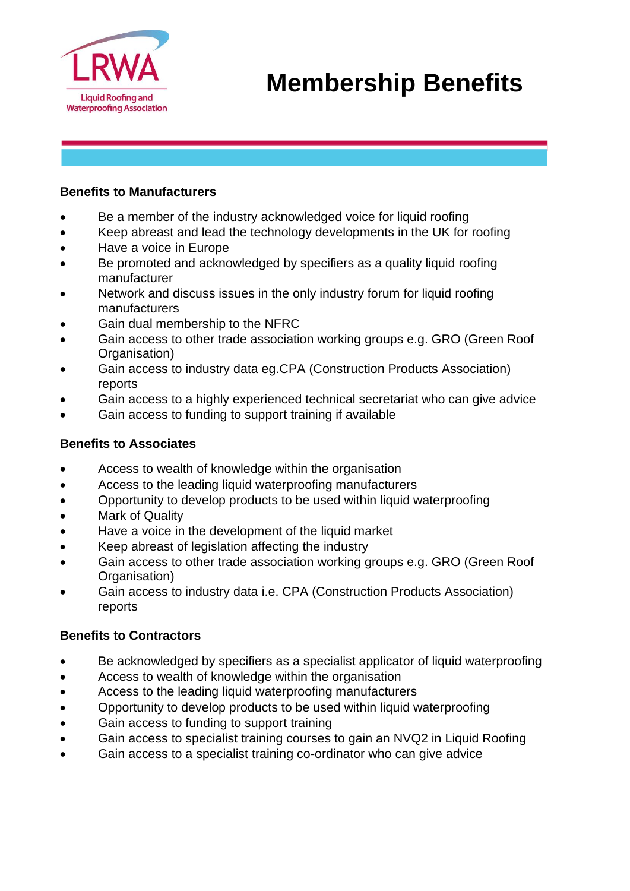

#### **Benefits to Manufacturers**

- Be a member of the industry acknowledged voice for liquid roofing
- Keep abreast and lead the technology developments in the UK for roofing
- Have a voice in Europe
- Be promoted and acknowledged by specifiers as a quality liquid roofing manufacturer
- Network and discuss issues in the only industry forum for liquid roofing manufacturers
- Gain dual membership to the NFRC
- Gain access to other trade association working groups e.g. GRO (Green Roof Organisation)
- Gain access to industry data eg.CPA (Construction Products Association) reports
- Gain access to a highly experienced technical secretariat who can give advice
- Gain access to funding to support training if available

### **Benefits to Associates**

- Access to wealth of knowledge within the organisation
- Access to the leading liquid waterproofing manufacturers
- Opportunity to develop products to be used within liquid waterproofing
- Mark of Quality
- Have a voice in the development of the liquid market
- Keep abreast of legislation affecting the industry
- Gain access to other trade association working groups e.g. GRO (Green Roof Organisation)
- Gain access to industry data i.e. CPA (Construction Products Association) reports

## **Benefits to Contractors**

- Be acknowledged by specifiers as a specialist applicator of liquid waterproofing
- Access to wealth of knowledge within the organisation
- Access to the leading liquid waterproofing manufacturers
- Opportunity to develop products to be used within liquid waterproofing
- Gain access to funding to support training
- Gain access to specialist training courses to gain an NVQ2 in Liquid Roofing
- Gain access to a specialist training co-ordinator who can give advice